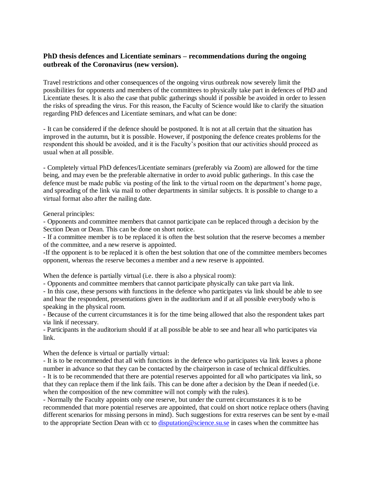## **PhD thesis defences and Licentiate seminars – recommendations during the ongoing outbreak of the Coronavirus (new version).**

Travel restrictions and other consequences of the ongoing virus outbreak now severely limit the possibilities for opponents and members of the committees to physically take part in defences of PhD and Licentiate theses. It is also the case that public gatherings should if possible be avoided in order to lessen the risks of spreading the virus. For this reason, the Faculty of Science would like to clarify the situation regarding PhD defences and Licentiate seminars, and what can be done:

- It can be considered if the defence should be postponed. It is not at all certain that the situation has improved in the autumn, but it is possible. However, if postponing the defence creates problems for the respondent this should be avoided, and it is the Faculty's position that our activities should proceed as usual when at all possible.

- Completely virtual PhD defences/Licentiate seminars (preferably via Zoom) are allowed for the time being, and may even be the preferable alternative in order to avoid public gatherings. In this case the defence must be made public via posting of the link to the virtual room on the department's home page, and spreading of the link via mail to other departments in similar subjects. It is possible to change to a virtual format also after the nailing date.

General principles:

- Opponents and committee members that cannot participate can be replaced through a decision by the Section Dean or Dean. This can be done on short notice.

- If a committee member is to be replaced it is often the best solution that the reserve becomes a member of the committee, and a new reserve is appointed.

-If the opponent is to be replaced it is often the best solution that one of the committee members becomes opponent, whereas the reserve becomes a member and a new reserve is appointed.

When the defence is partially virtual (i.e. there is also a physical room):

- Opponents and committee members that cannot participate physically can take part via link.

- In this case, these persons with functions in the defence who participates via link should be able to see and hear the respondent, presentations given in the auditorium and if at all possible everybody who is speaking in the physical room.

- Because of the current circumstances it is for the time being allowed that also the respondent takes part via link if necessary.

- Participants in the auditorium should if at all possible be able to see and hear all who participates via link.

When the defence is virtual or partially virtual:

- It is to be recommended that all with functions in the defence who participates via link leaves a phone number in advance so that they can be contacted by the chairperson in case of technical difficulties. - It is to be recommended that there are potential reserves appointed for all who participates via link, so

that they can replace them if the link fails. This can be done after a decision by the Dean if needed (i.e. when the composition of the new committee will not comply with the rules).

- Normally the Faculty appoints only one reserve, but under the current circumstances it is to be recommended that more potential reserves are appointed, that could on short notice replace others (having different scenarios for missing persons in mind). Such suggestions for extra reserves can be sent by e-mail to the appropriate Section Dean with cc to [disputation@science.su.se](mailto:disputation@science.su.se) in cases when the committee has